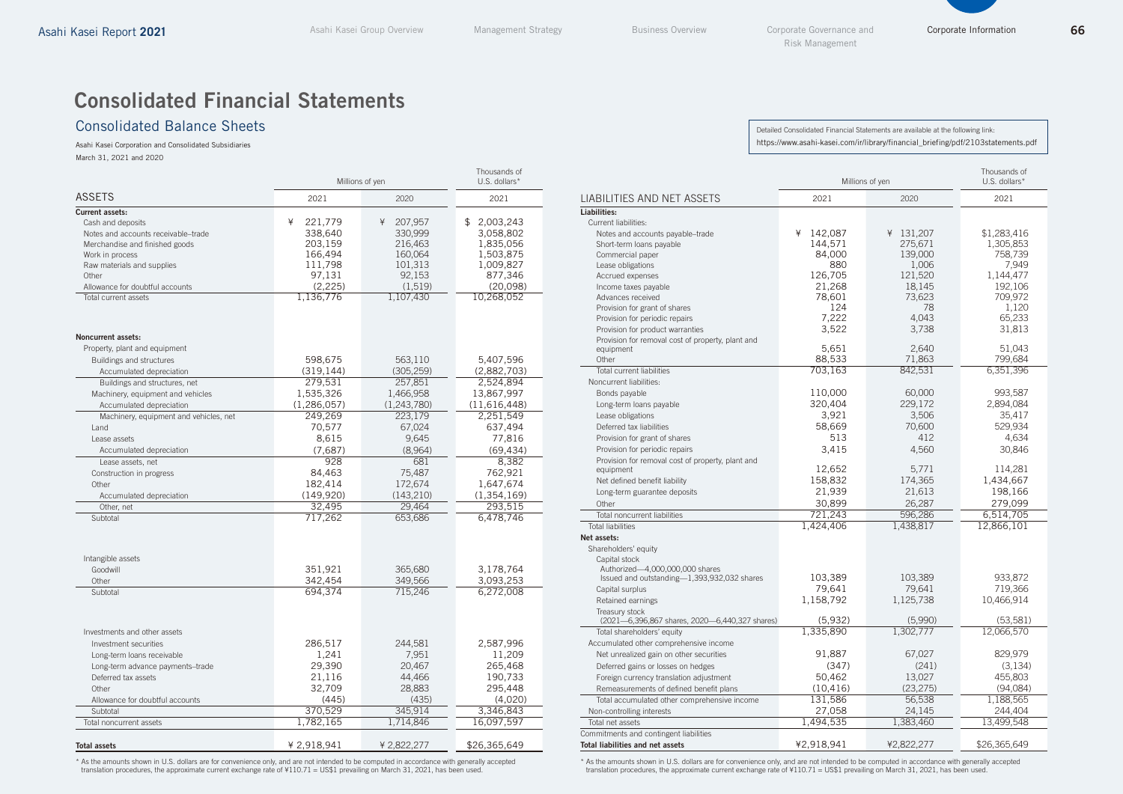# Consolidated Financial Statements

#### Consolidated Balance Sheets

Asahi Kasei Corporation and Consolidated Subsidiaries March 31, 2021 and 2020

|                                        | Millions of yen      | Thousands of<br>U.S. dollars* |                      |  |
|----------------------------------------|----------------------|-------------------------------|----------------------|--|
| <b>ASSETS</b>                          | 2021                 | 2020                          | 2021                 |  |
| <b>Current assets:</b>                 |                      |                               |                      |  |
| Cash and deposits                      | ¥<br>221,779         | 207,957<br>¥                  | \$<br>2,003,243      |  |
| Notes and accounts receivable-trade    | 338,640              | 330,999                       | 3,058,802            |  |
| Merchandise and finished goods         | 203,159              | 216,463                       | 1,835,056            |  |
| Work in process                        | 166,494              | 160,064                       | 1,503,875            |  |
| Raw materials and supplies             | 111,798              | 101,313                       | 1,009,827            |  |
| Other                                  | 97,131               | 92,153                        | 877,346              |  |
| Allowance for doubtful accounts        | (2, 225)             | (1, 519)                      | (20,098)             |  |
| Total current assets                   | 1,136,776            | 1,107,430                     | 10,268,052           |  |
| <b>Noncurrent assets:</b>              |                      |                               |                      |  |
| Property, plant and equipment          |                      |                               |                      |  |
| Buildings and structures               | 598,675              | 563,110                       | 5,407,596            |  |
| Accumulated depreciation               | (319, 144)           | (305, 259)                    | (2,882,703)          |  |
| Buildings and structures, net          | 279,531              | 257,851                       | 2,524,894            |  |
| Machinery, equipment and vehicles      | 1,535,326            | 1,466,958                     | 13,867,997           |  |
| Accumulated depreciation               | (1, 286, 057)        | (1,243,780)                   | (11,616,448)         |  |
| Machinery, equipment and vehicles, net | 249,269              | 223,179                       | 2,251,549            |  |
| Land                                   | 70,577               | 67,024                        | 637,494              |  |
| Lease assets                           | 8,615                | 9,645                         | 77,816               |  |
| Accumulated depreciation               | (7,687)              | (8,964)                       | (69, 434)            |  |
| Lease assets, net                      | 928                  | 681                           | 8,382                |  |
| Construction in progress               | 84,463               | 75,487                        | 762,921              |  |
| Other                                  | 182,414              | 172,674                       | 1,647,674            |  |
| Accumulated depreciation               | (149, 920)<br>32,495 | (143, 210)<br>29,464          | (1, 354, 169)        |  |
| Other, net<br>Subtotal                 | 717,262              | 653,686                       | 293,515<br>6,478,746 |  |
|                                        |                      |                               |                      |  |
| Intangible assets                      |                      |                               |                      |  |
| Goodwill                               | 351,921              | 365,680                       | 3,178,764            |  |
| Other                                  | 342,454              | 349,566                       | 3,093,253            |  |
| Subtotal                               | 694,374              | 715,246                       | 6,272,008            |  |
|                                        |                      |                               |                      |  |
| Investments and other assets           |                      |                               |                      |  |
| Investment securities                  | 286,517              | 244,581                       | 2,587,996            |  |
| Long-term loans receivable             | 1,241                | 7,951                         | 11,209               |  |
| Long-term advance payments-trade       | 29,390               | 20,467                        | 265,468              |  |
| Deferred tax assets                    | 21,116               | 44,466                        | 190,733              |  |
| Other                                  | 32,709               | 28,883                        | 295,448              |  |
| Allowance for doubtful accounts        | (445)                | (435)                         | (4,020)              |  |
| Subtotal                               | 370,529              | 345,914                       | 3,346,843            |  |
| Total noncurrent assets                | 1,782,165            | 1,714,846                     | 16,097,597           |  |
|                                        |                      |                               |                      |  |
| <b>Total assets</b>                    | ¥ 2,918,941          | ¥ 2,822,277                   | \$26,365,649         |  |

\* As the amounts shown in U.S. dollars are for convenience only, and are not intended to be computed in accordance with generally accepted<br>translation procedures, the approximate current exchange rate of ¥110.71 = US\$1 pre

Detailed Consolidated Financial Statements are available at the following link: https://www.asahi-kasei.com/ir/library/financial\_briefing/pdf/2103statements.pdf

|                                                                                       | Millions of yen | Thousands of<br>U.S. dollars* |                 |
|---------------------------------------------------------------------------------------|-----------------|-------------------------------|-----------------|
| LIABILITIES AND NET ASSETS                                                            | 2021            | 2020                          | 2021            |
| Liabilities:                                                                          |                 |                               |                 |
| Current liabilities:                                                                  |                 |                               |                 |
| Notes and accounts payable-trade                                                      | ¥<br>142,087    | 131,207<br>¥                  | \$1,283,416     |
| Short-term loans payable                                                              | 144,571         | 275,671                       | 1,305,853       |
| Commercial paper                                                                      | 84,000          | 139,000                       | 758,739         |
| Lease obligations                                                                     | 880             | 1,006                         | 7,949           |
| Accrued expenses                                                                      | 126,705         | 121,520                       | 1,144,477       |
| Income taxes payable                                                                  | 21,268          | 18,145                        | 192,106         |
| Advances received                                                                     | 78,601          | 73,623<br>78                  | 709,972         |
| Provision for grant of shares                                                         | 124<br>7.222    | 4.043                         | 1,120<br>65.233 |
| Provision for periodic repairs                                                        | 3,522           | 3,738                         | 31,813          |
| Provision for product warranties<br>Provision for removal cost of property, plant and |                 |                               |                 |
| equipment                                                                             | 5,651           | 2,640                         | 51,043          |
| Other                                                                                 | 88,533          | 71,863                        | 799.684         |
| <b>Total current liabilities</b>                                                      | 703,163         | 842,531                       | 6,351,396       |
| Noncurrent liabilities:                                                               |                 |                               |                 |
| Bonds payable                                                                         | 110,000         | 60,000                        | 993,587         |
| Long-term loans payable                                                               | 320,404         | 229,172                       | 2,894,084       |
| Lease obligations                                                                     | 3,921           | 3,506                         | 35,417          |
| Deferred tax liabilities                                                              | 58,669          | 70,600                        | 529,934         |
| Provision for grant of shares                                                         | 513             | 412                           | 4,634           |
| Provision for periodic repairs                                                        | 3,415           | 4,560                         | 30,846          |
| Provision for removal cost of property, plant and                                     |                 |                               |                 |
| equipment                                                                             | 12,652          | 5,771                         | 114,281         |
| Net defined benefit liability                                                         | 158,832         | 174,365                       | 1,434,667       |
| Long-term guarantee deposits                                                          | 21,939          | 21,613                        | 198,166         |
| Other                                                                                 | 30,899          | 26,287                        | 279,099         |
| Total noncurrent liabilities                                                          | 721.243         | 596.286                       | 6,514,705       |
| <b>Total liabilities</b>                                                              | 1,424,406       | 1,438,817                     | 12,866,101      |
| Net assets:                                                                           |                 |                               |                 |
| Shareholders' equity                                                                  |                 |                               |                 |
| Capital stock                                                                         |                 |                               |                 |
| Authorized-4,000,000,000 shares<br>Issued and outstanding-1,393,932,032 shares        | 103,389         | 103,389                       | 933,872         |
| Capital surplus                                                                       | 79,641          | 79,641                        | 719,366         |
| Retained earnings                                                                     | 1,158,792       | 1,125,738                     | 10,466,914      |
| Treasury stock                                                                        |                 |                               |                 |
| (2021-6,396,867 shares, 2020-6,440,327 shares)                                        | (5,932)         | (5,990)                       | (53, 581)       |
| Total shareholders' equity                                                            | 1,335,890       | 1,302,777                     | 12,066,570      |
| Accumulated other comprehensive income                                                |                 |                               |                 |
| Net unrealized gain on other securities                                               | 91,887          | 67,027                        | 829,979         |
| Deferred gains or losses on hedges                                                    | (347)           | (241)                         | (3, 134)        |
| Foreign currency translation adjustment                                               | 50,462          | 13,027                        | 455,803         |
| Remeasurements of defined benefit plans                                               | (10, 416)       | (23, 275)                     | (94,084)        |
| Total accumulated other comprehensive income                                          | 131,586         | 56,538                        | 1,188,565       |
| Non-controlling interests                                                             | 27,058          | 24,145                        | 244,404         |
| Total net assets                                                                      | 1,494,535       | 1,383,460                     | 13,499,548      |
| Commitments and contingent liabilities                                                |                 |                               |                 |
| Total liabilities and net assets                                                      | ¥2,918,941      | ¥2,822,277                    | \$26,365,649    |

\* As the amounts shown in U.S. dollars are for convenience only, and are not intended to be computed in accordance with generally accepted translation procedures, the approximate current exchange rate of ¥110.71 = US\$1 prevailing on March 31, 2021, has been used.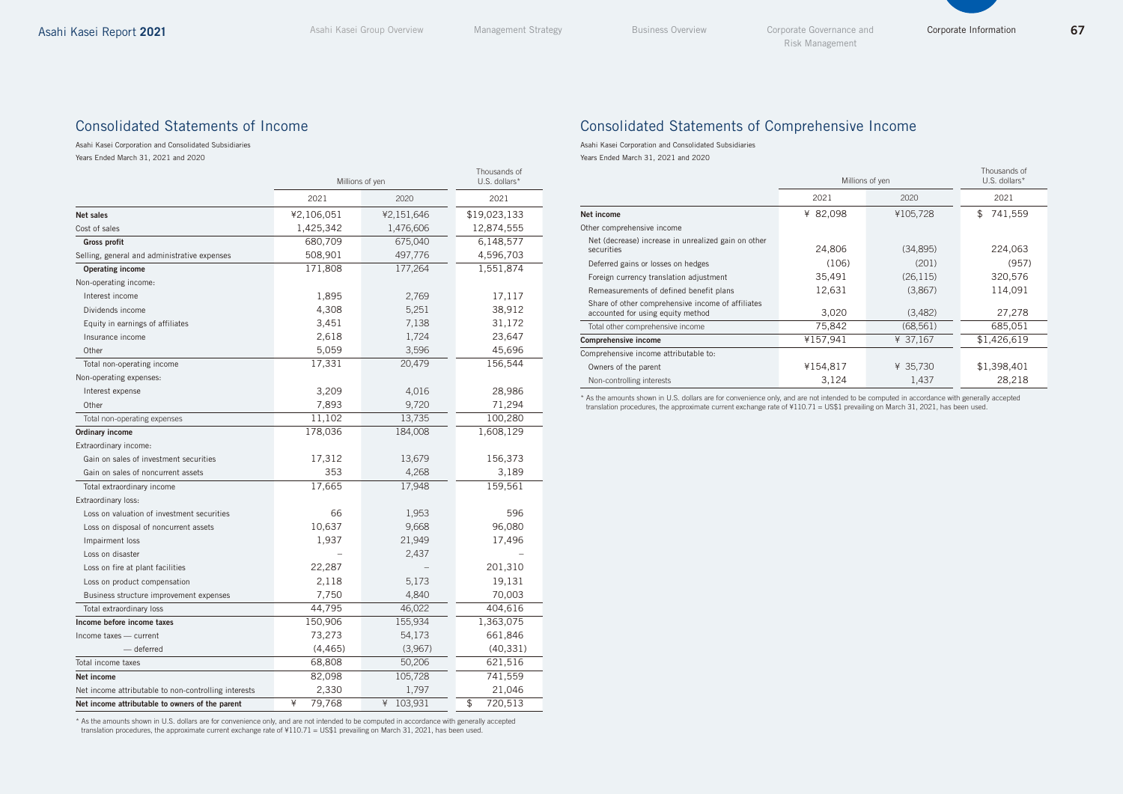Corporate Information

#### Consolidated Statements of Income

Asahi Kasei Corporation and Consolidated Subsidiaries Years Ended March 31, 2021 and 2020

|                                                      | Millions of yen | Thousands of<br>U.S. dollars* |               |
|------------------------------------------------------|-----------------|-------------------------------|---------------|
|                                                      | 2021            | 2020                          | 2021          |
| <b>Net sales</b>                                     | ¥2,106,051      | ¥2,151,646                    | \$19,023,133  |
| Cost of sales                                        | 1,425,342       | 1,476,606                     | 12,874,555    |
| <b>Gross profit</b>                                  | 680,709         | 675,040                       | 6,148,577     |
| Selling, general and administrative expenses         | 508,901         | 497,776                       | 4,596,703     |
| <b>Operating income</b>                              | 171,808         | 177,264                       | 1,551,874     |
| Non-operating income:                                |                 |                               |               |
| Interest income                                      | 1,895           | 2,769                         | 17,117        |
| Dividends income                                     | 4,308           | 5,251                         | 38,912        |
| Equity in earnings of affiliates                     | 3,451           | 7,138                         | 31,172        |
| Insurance income                                     | 2,618           | 1,724                         | 23,647        |
| Other                                                | 5,059           | 3,596                         | 45,696        |
| Total non-operating income                           | 17,331          | 20,479                        | 156,544       |
| Non-operating expenses:                              |                 |                               |               |
| Interest expense                                     | 3,209           | 4,016                         | 28,986        |
| Other                                                | 7,893           | 9,720                         | 71,294        |
| Total non-operating expenses                         | 11,102          | 13,735                        | 100,280       |
| Ordinary income                                      | 178,036         | 184,008                       | 1,608,129     |
| Extraordinary income:                                |                 |                               |               |
| Gain on sales of investment securities               | 17,312          | 13,679                        | 156,373       |
| Gain on sales of noncurrent assets                   | 353             | 4,268                         | 3,189         |
| Total extraordinary income                           | 17,665          | 17,948                        | 159,561       |
| Extraordinary loss:                                  |                 |                               |               |
| Loss on valuation of investment securities           | 66              | 1,953                         | 596           |
| Loss on disposal of noncurrent assets                | 10,637          | 9,668                         | 96,080        |
| Impairment loss                                      | 1,937           | 21,949                        | 17,496        |
| Loss on disaster                                     |                 | 2,437                         |               |
| Loss on fire at plant facilities                     | 22,287          |                               | 201,310       |
| Loss on product compensation                         | 2,118           | 5,173                         | 19,131        |
| Business structure improvement expenses              | 7,750           | 4,840                         | 70,003        |
| Total extraordinary loss                             | 44,795          | 46,022                        | 404,616       |
| Income before income taxes                           | 150,906         | 155,934                       | 1,363,075     |
| Income taxes - current                               | 73,273          | 54,173                        | 661,846       |
| - deferred                                           | (4, 465)        | (3,967)                       | (40, 331)     |
| Total income taxes                                   | 68,808          | 50,206                        | 621,516       |
| Net income                                           | 82,098          | 105,728                       | 741,559       |
| Net income attributable to non-controlling interests | 2,330           | 1,797                         | 21,046        |
| Net income attributable to owners of the parent      | ¥<br>79,768     | ¥<br>103,931                  | \$<br>720,513 |

\* As the amounts shown in U.S. dollars are for convenience only, and are not intended to be computed in accordance with generally accepted translation procedures, the approximate current exchange rate of ¥110.71 = US\$1 prevailing on March 31, 2021, has been used.

#### Consolidated Statements of Comprehensive Income

Asahi Kasei Corporation and Consolidated Subsidiaries

Years Ended March 31, 2021 and 2020

|                                                                                        | Millions of yen | Thousands of<br>U.S. dollars* |               |
|----------------------------------------------------------------------------------------|-----------------|-------------------------------|---------------|
|                                                                                        | 2021            | 2020                          | 2021          |
| Net income                                                                             | ¥ 82,098        | ¥105,728                      | 741,559<br>\$ |
| Other comprehensive income                                                             |                 |                               |               |
| Net (decrease) increase in unrealized gain on other<br>securities                      | 24,806          | (34,895)                      | 224,063       |
| Deferred gains or losses on hedges                                                     | (106)           | (201)                         | (957)         |
| Foreign currency translation adjustment                                                | 35,491          | (26, 115)                     | 320,576       |
| Remeasurements of defined benefit plans                                                | 12,631          | (3,867)                       | 114,091       |
| Share of other comprehensive income of affiliates<br>accounted for using equity method | 3,020           | (3,482)                       | 27,278        |
| Total other comprehensive income                                                       | 75,842          | (68, 561)                     | 685,051       |
| Comprehensive income                                                                   | ¥157,941        | ¥ 37,167                      | \$1,426,619   |
| Comprehensive income attributable to:                                                  |                 |                               |               |
| Owners of the parent                                                                   | ¥154,817        | ¥ 35,730                      | \$1,398,401   |
| Non-controlling interests                                                              | 3,124           | 1,437                         | 28,218        |

\* As the amounts shown in U.S. dollars are for convenience only, and are not intended to be computed in accordance with generally accepted translation procedures, the approximate current exchange rate of ¥110.71 = US\$1 prevailing on March 31, 2021, has been used.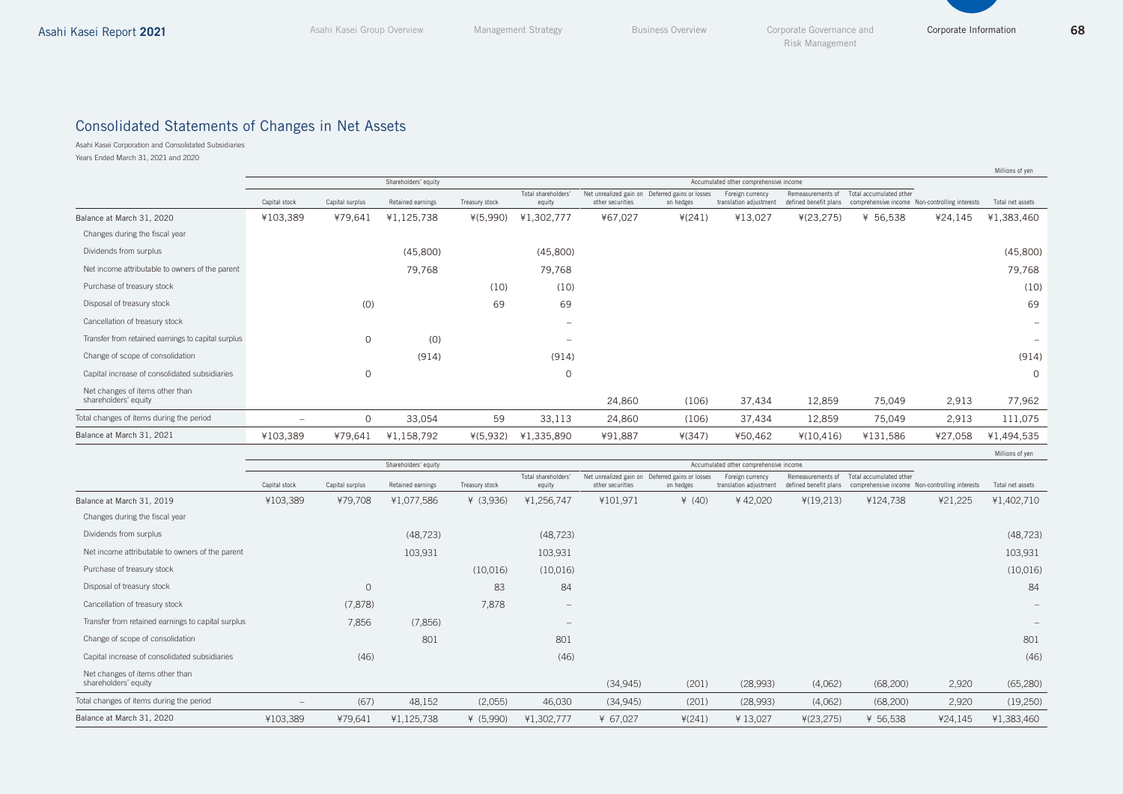# Consolidated Statements of Changes in Net Assets

Asahi Kasei Corporation and Consolidated Subsidiaries

Years Ended March 31, 2021 and 2020

|                                                         |                          |                 |                   |                |                               |                                        |                                                              |                                            |                                            |                         |                                                | Millions of yen          |
|---------------------------------------------------------|--------------------------|-----------------|-------------------|----------------|-------------------------------|----------------------------------------|--------------------------------------------------------------|--------------------------------------------|--------------------------------------------|-------------------------|------------------------------------------------|--------------------------|
|                                                         | Shareholders' equity     |                 |                   |                |                               | Accumulated other comprehensive income |                                                              |                                            |                                            |                         |                                                |                          |
|                                                         | Capital stock            | Capital surplus | Retained earnings | Treasury stock | Total shareholders'<br>equity | other securities                       | Net unrealized gain on Deferred gains or losses<br>on hedges | Foreign currency<br>translation adjustment | Remeasurements of<br>defined benefit plans | Total accumulated other | comprehensive income Non-controlling interests | Total net assets         |
| Balance at March 31, 2020                               | ¥103,389                 | ¥79,641         | ¥1,125,738        | $*(5,990)$     | ¥1,302,777                    | ¥67,027                                | $*(241)$                                                     | ¥13,027                                    | $*(23, 275)$                               | ¥ 56,538                | ¥24,145                                        | ¥1,383,460               |
| Changes during the fiscal year                          |                          |                 |                   |                |                               |                                        |                                                              |                                            |                                            |                         |                                                |                          |
| Dividends from surplus                                  |                          |                 | (45,800)          |                | (45,800)                      |                                        |                                                              |                                            |                                            |                         |                                                | (45,800)                 |
| Net income attributable to owners of the parent         |                          |                 | 79,768            |                | 79,768                        |                                        |                                                              |                                            |                                            |                         |                                                | 79,768                   |
| Purchase of treasury stock                              |                          |                 |                   | (10)           | (10)                          |                                        |                                                              |                                            |                                            |                         |                                                | (10)                     |
| Disposal of treasury stock                              |                          | (0)             |                   | 69             | 69                            |                                        |                                                              |                                            |                                            |                         |                                                | 69                       |
| Cancellation of treasury stock                          |                          |                 |                   |                | $\qquad \qquad -$             |                                        |                                                              |                                            |                                            |                         |                                                | $\overline{\phantom{m}}$ |
| Transfer from retained earnings to capital surplus      |                          | $\Omega$        | (0)               |                | $\overline{\phantom{a}}$      |                                        |                                                              |                                            |                                            |                         |                                                | $\overline{\phantom{a}}$ |
| Change of scope of consolidation                        |                          |                 | (914)             |                | (914)                         |                                        |                                                              |                                            |                                            |                         |                                                | (914)                    |
| Capital increase of consolidated subsidiaries           |                          | $\circ$         |                   |                | $\mathbf{0}$                  |                                        |                                                              |                                            |                                            |                         |                                                | $\mathbf{0}$             |
| Net changes of items other than<br>shareholders' equity |                          |                 |                   |                |                               | 24,860                                 | (106)                                                        | 37,434                                     | 12,859                                     | 75,049                  | 2,913                                          | 77,962                   |
| Total changes of items during the period                | $\overline{\phantom{0}}$ | $\mathbf{0}$    | 33,054            | 59             | 33,113                        | 24,860                                 | (106)                                                        | 37,434                                     | 12,859                                     | 75,049                  | 2,913                                          | 111,075                  |
| Balance at March 31, 2021                               | ¥103,389                 | ¥79,641         | ¥1,158,792        | $*(5,932)$     | ¥1,335,890                    | ¥91,887                                | $*(347)$                                                     | ¥50,462                                    | $*(10, 416)$                               | ¥131,586                | ¥27,058                                        | ¥1,494,535               |
|                                                         |                          |                 |                   |                |                               |                                        |                                                              |                                            |                                            |                         |                                                | Millions of yen          |

|                                                         | Shareholders' equity     |                 |                   |                |                                 | Accumulated other comprehensive income |                                                              |                                            |                                            |                                                                           |         |                  |
|---------------------------------------------------------|--------------------------|-----------------|-------------------|----------------|---------------------------------|----------------------------------------|--------------------------------------------------------------|--------------------------------------------|--------------------------------------------|---------------------------------------------------------------------------|---------|------------------|
|                                                         | Capital stock            | Capital surplus | Retained earnings | Treasury stock | Total shareholders'<br>equity   | other securities                       | Net unrealized gain on Deferred gains or losses<br>on hedges | Foreign currency<br>translation adjustment | Remeasurements of<br>defined benefit plans | Total accumulated other<br>comprehensive income Non-controlling interests |         | Total net assets |
| Balance at March 31, 2019                               | ¥103,389                 | ¥79,708         | ¥1,077,586        | ¥ (3,936)      | ¥1,256,747                      | ¥101,971                               | ¥ $(40)$                                                     | ¥42,020                                    | $*(19,213)$                                | ¥124,738                                                                  | ¥21,225 | ¥1,402,710       |
| Changes during the fiscal year                          |                          |                 |                   |                |                                 |                                        |                                                              |                                            |                                            |                                                                           |         |                  |
| Dividends from surplus                                  |                          |                 | (48, 723)         |                | (48, 723)                       |                                        |                                                              |                                            |                                            |                                                                           |         | (48, 723)        |
| Net income attributable to owners of the parent         |                          |                 | 103,931           |                | 103,931                         |                                        |                                                              |                                            |                                            |                                                                           |         | 103,931          |
| Purchase of treasury stock                              |                          |                 |                   | (10,016)       | (10,016)                        |                                        |                                                              |                                            |                                            |                                                                           |         | (10,016)         |
| Disposal of treasury stock                              |                          | $\mathbf{0}$    |                   | 83             | 84                              |                                        |                                                              |                                            |                                            |                                                                           |         | 84               |
| Cancellation of treasury stock                          |                          | (7, 878)        |                   | 7,878          | $\hspace{0.1mm}-\hspace{0.1mm}$ |                                        |                                                              |                                            |                                            |                                                                           |         |                  |
| Transfer from retained earnings to capital surplus      |                          | 7,856           | (7,856)           |                | $\hspace{0.1mm}-\hspace{0.1mm}$ |                                        |                                                              |                                            |                                            |                                                                           |         |                  |
| Change of scope of consolidation                        |                          |                 | 801               |                | 801                             |                                        |                                                              |                                            |                                            |                                                                           |         | 801              |
| Capital increase of consolidated subsidiaries           |                          | (46)            |                   |                | (46)                            |                                        |                                                              |                                            |                                            |                                                                           |         | (46)             |
| Net changes of items other than<br>shareholders' equity |                          |                 |                   |                |                                 | (34, 945)                              | (201)                                                        | (28,993)                                   | (4,062)                                    | (68, 200)                                                                 | 2,920   | (65, 280)        |
| Total changes of items during the period                | $\overline{\phantom{m}}$ | (67)            | 48,152            | (2,055)        | 46,030                          | (34,945)                               | (201)                                                        | (28,993)                                   | (4,062)                                    | (68, 200)                                                                 | 2,920   | (19,250)         |
| Balance at March 31, 2020                               | ¥103,389                 | ¥79,641         | ¥1,125,738        | ¥ $(5,990)$    | ¥1,302,777                      | ¥ 67,027                               | $*(241)$                                                     | ¥13,027                                    | 4(23, 275)                                 | ¥ 56,538                                                                  | ¥24,145 | ¥1,383,460       |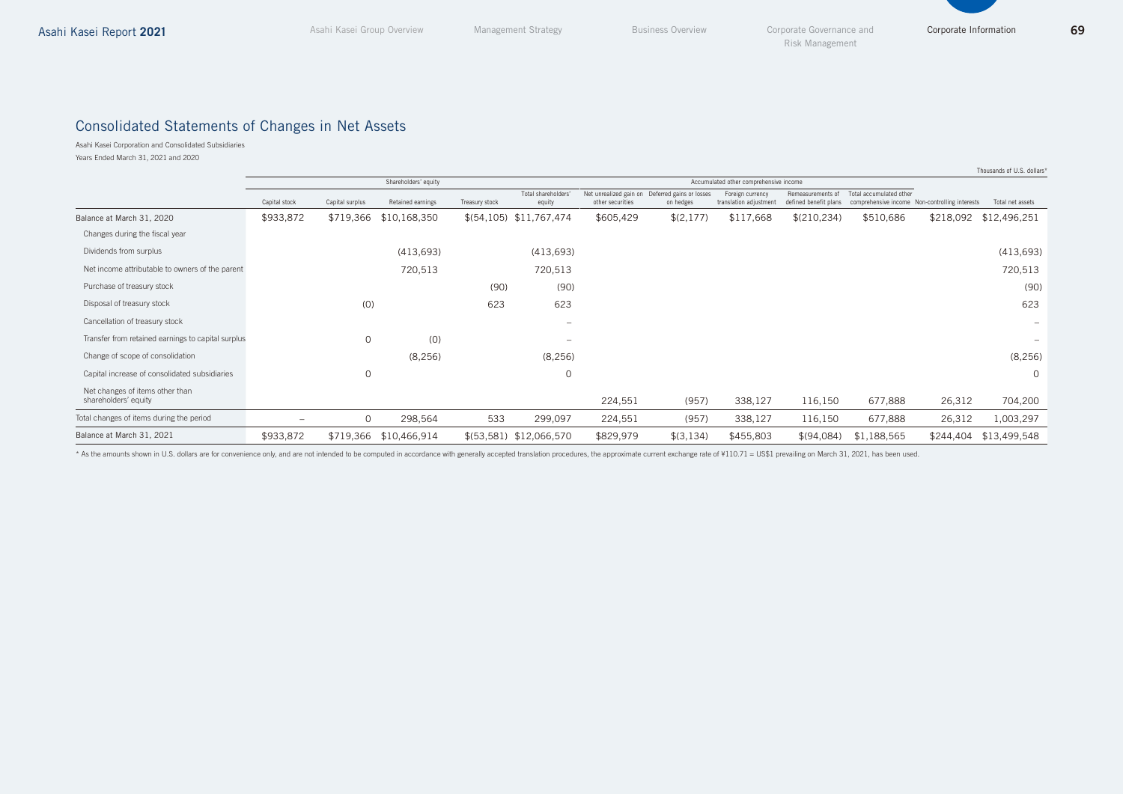Corporate Information

## Consolidated Statements of Changes in Net Assets

Asahi Kasei Corporation and Consolidated Subsidiaries Years Ended March 31, 2021 and 2020

|                                                         |                          |                 |                      |                |                              |                  |                                                              |                                            |                                            |                                                                           |           | Thousands of U.S. dollars* |
|---------------------------------------------------------|--------------------------|-----------------|----------------------|----------------|------------------------------|------------------|--------------------------------------------------------------|--------------------------------------------|--------------------------------------------|---------------------------------------------------------------------------|-----------|----------------------------|
|                                                         |                          |                 | Shareholders' equity |                |                              |                  |                                                              | Accumulated other comprehensive income     |                                            |                                                                           |           |                            |
|                                                         | Capital stock            | Capital surplus | Retained earnings    | Treasury stock | Total shareholders<br>equity | other securities | Net unrealized gain on Deferred gains or losses<br>on hedges | Foreign currency<br>translation adjustment | Remeasurements of<br>defined benefit plans | Total accumulated other<br>comprehensive income Non-controlling interests |           | Total net assets           |
| Balance at March 31, 2020                               | \$933,872                | \$719,366       | \$10,168,350         |                | $$(54,105)$ \$11,767,474     | \$605,429        | \$(2,177)                                                    | \$117,668                                  | \$(210,234)                                | \$510,686                                                                 | \$218,092 | \$12,496,251               |
| Changes during the fiscal year                          |                          |                 |                      |                |                              |                  |                                                              |                                            |                                            |                                                                           |           |                            |
| Dividends from surplus                                  |                          |                 | (413, 693)           |                | (413, 693)                   |                  |                                                              |                                            |                                            |                                                                           |           | (413, 693)                 |
| Net income attributable to owners of the parent         |                          |                 | 720,513              |                | 720,513                      |                  |                                                              |                                            |                                            |                                                                           |           | 720,513                    |
| Purchase of treasury stock                              |                          |                 |                      | (90)           | (90)                         |                  |                                                              |                                            |                                            |                                                                           |           | (90)                       |
| Disposal of treasury stock                              |                          | (0)             |                      | 623            | 623                          |                  |                                                              |                                            |                                            |                                                                           |           | 623                        |
| Cancellation of treasury stock                          |                          |                 |                      |                | $\qquad \qquad$              |                  |                                                              |                                            |                                            |                                                                           |           |                            |
| Transfer from retained earnings to capital surplus      |                          | $\circ$         | (0)                  |                | -                            |                  |                                                              |                                            |                                            |                                                                           |           |                            |
| Change of scope of consolidation                        |                          |                 | (8, 256)             |                | (8, 256)                     |                  |                                                              |                                            |                                            |                                                                           |           | (8, 256)                   |
| Capital increase of consolidated subsidiaries           |                          | $\circ$         |                      |                | $\mathbf 0$                  |                  |                                                              |                                            |                                            |                                                                           |           | $\Omega$                   |
| Net changes of items other than<br>shareholders' equity |                          |                 |                      |                |                              | 224,551          | (957)                                                        | 338,127                                    | 116,150                                    | 677,888                                                                   | 26,312    | 704,200                    |
| Total changes of items during the period                | $\overline{\phantom{0}}$ | 0               | 298,564              | 533            | 299,097                      | 224,551          | (957)                                                        | 338,127                                    | 116,150                                    | 677,888                                                                   | 26,312    | 1,003,297                  |
| Balance at March 31, 2021                               | \$933,872                | \$719,366       | \$10,466,914         |                | \$(53,581) \$12,066,570      | \$829,979        | \$(3,134)                                                    | \$455,803                                  | \$(94,084)                                 | \$1,188,565                                                               | \$244,404 | \$13,499,548               |

\* As the amounts shown in U.S. dollars are for convenience only, and are not intended to be computed in accordance with generally accepted translation procedures, the approximate current exchange rate of ¥110.71 = US\$1 pre